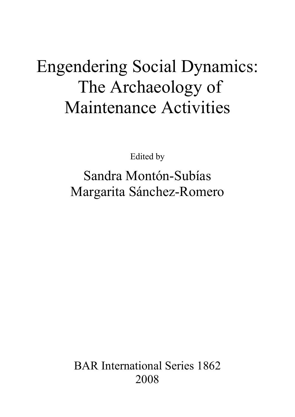# Engendering Social Dynamics: The Archaeology of Maintenance Activities

Edited by

Sandra Montón-Subías Margarita Sánchez-Romero

BAR International Series 1862 2008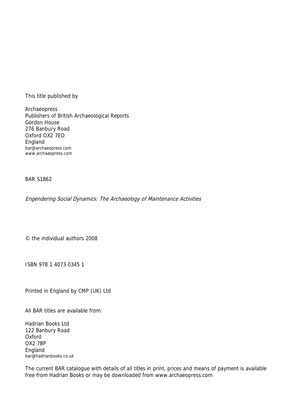This title published by

Archaeopress Publishers of British Archaeological Reports Gordon House 276 Banbury Road Oxford OX2 7ED England bar@archaeopress.com www.archaeopress.com

BAR S1862

Engendering Social Dynamics: The Archaeology of Maintenance Activities

© the individual authors 2008

ISBN 978 1 4073 0345 1

Printed in England by CMP (UK) Ltd

All BAR titles are available from:

Hadrian Books Ltd 122 Banbury Road Oxford OX2 7BP England bar@hadrianbooks.co.uk

The current BAR catalogue with details of all titles in print, prices and means of payment is available free from Hadrian Books or may be downloaded from www.archaeopress.com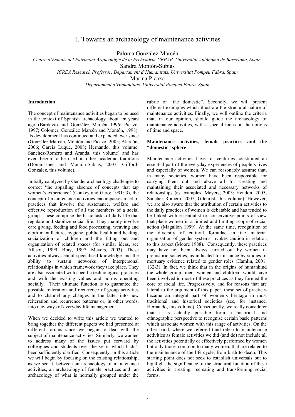# 1. Towards an archaeology of maintenance activities

Paloma González-Marcén

*Centre d'Estudis del Patrimoni Arqueològic de la Prehistòria-CEPAP. Universitat Autònoma de Barcelona, Spain.* 

Sandra Montón-Subías

*ICREA Research Professor. Departament d'Humanitats. Universitat Pompeu Fabra, Spain* 

Marina Picazo

*Departament d'Humanitats. Universitat Pompeu Fabra, Spain* 

# **Introduction**

The concept of maintenance activities began to be used in the context of Spanish archaeology about ten years ago (Bardavio and González Marcén 1996; Picazo, 1997; Colomer, González Marcén and Montón, 1998). Its development has continued and expanded ever since (González Marcén, Montón and Picazo, 2005; Alarcón, 2006; García Luque, 2008; Hernando, this volume; Sánchez-Romero and Aranda, this volume) and has even begun to be used in other academic traditions (Dommasnes and Montón-Subías, 2007; Gifford-Gonzalez, this volume).

Initially catalyzed by Gender archaeology challenges to correct 'the appalling absence of concepts that tap women's experience' (Conkey and Gero: 1991: 3), the concept of maintenance activities encompasses a set of practices that involve the sustenance, welfare and effective reproduction of all the members of a social group. These comprise the basic tasks of daily life that regulate and stabilize social life. They mainly involve care giving, feeding and food processing, weaving and cloth manufacture, hygiene, public health and healing, socialization of children and the fitting out and organization of related spaces (for similar ideas, see Allison, 1999; Bray, 1997; Meyers, 2003). These activities always entail specialised knowledge and the ability to sustain networks of interpersonal relationships in which framework they take place. They are also associated with specific technological practices and with the existing values and norms operating socially. Their ultimate function is to guarantee the possible reiteration and recurrence of group activities and to channel any changes in the latter into new reiteration and recurrence patterns or, in other words, into new ways of everyday life management.

When we decided to write this article we wanted to bring together the different papers we had presented at different forums since we began to deal with the subject of maintenance activities. Similarly, we wanted to address many of the issues put forward by colleagues and students over the years which hadn't been sufficiently clarified. Consequently, in this article we will begin by focusing on the existing relationship, as we see it, between an archaeology of maintenance activities, an archaeology of female practices and an archaeology of what is normally grouped under the

rubric of "the domestic". Secondly, we will present different examples which illustrate the structural nature of maintenance activities. Finally, we will outline the criteria that, in our opinion, should guide the archaeology of maintenance activities, with a special focus on the notions of time and space.

# **Maintenance activities, female practices and the "domestic" sphere**

Maintenance activities have for centuries constituted an essential part of the everyday experiences of people's lives and especially of women. We can reasonably assume that, in many societies, women have been responsible for carrying them out and above all for creating and maintaining their associated and necessary networks of relationships (as examples, Meyers, 2003; Hendon, 2005; Sánchez-Romero, 2007; Gilchrist, this volume). However, we are also aware that the attribution of certain activities to the daily practices of women is debatable and has tended to be linked with essentialist or conservative points of view that place women in a limited and limiting scope of social action (Magallón 1999). At the same time, recognition of the diversity of cultural formulae in the material organisation of gender systems invokes caution in relation to this aspect (Moore 1988). Consequently, these practices may have not been always carried out by women in prehistoric societies, as indicated for instance by studies of mortuary evidence related to gender roles (Hamlin, 2001: 132-3). In fact, we think that in the origins of humankind the whole group -men, women and children- would have been involved in most of these practices as they formed the core of social life. Progressively, and for reasons that are lateral to the argument of this paper, these set of practices became an integral part of women's heritage in most traditional and historical societies (see, for instance, Hernando, this volume). Consequently, we really considerer that it is actually possible from a historical and ethnographic perspective to recognise certain basic patterns which associate women with this range of activities. On the other hand, where we referred (and refer) to maintenance activities as female activities we did (and do) not include all the activities potentially or effectively performed by women but only those, common to many women, that are related to the maintenance of the life cycle, from birth to death. This starting point does not seek to establish universals but to highlight the significance of the structural function of these activities in creating, recreating and transforming social forms.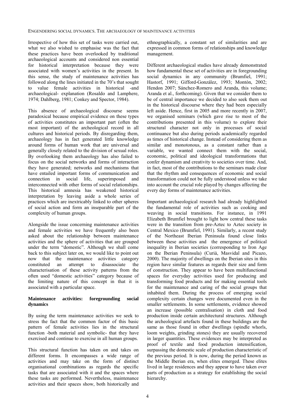Irrespective of how this set of tasks were carried out, what we also wished to emphasise was the fact that these practices have been overlooked by traditional archaeological accounts and considered non essential for historical interpretation because they were associated with women's activities in the present. In this sense, the study of maintenance activities has followed along the lines initiated in the 70's that sought to value female activities in historical -and archaeological- explanation (Rosaldo and Lamphere, 1974; Dahlberg, 1981; Conkey and Spector, 1984).

This absence of archaeological discourse seems paradoxical because empirical evidence on these types of activities constitutes an important part (often the most important) of the archeological record in all cultures and historical periods. By disregarding them, archaeology has in fact generated little knowledge around forms of human work that are universal and generally closely related to the division of sexual roles. By overlooking them archaeology has also failed to focus on the social networks and forms of interaction they have generated; networks and mechanisms that have entailed important forms of communication and connection in social life, superimposed and interconnected with other forms of social relationships. This historical amnesia has weakened historical interpretation by leaving aside a whole series of practices which are inextricably linked to other spheres of social action and form an inseparable part of the complexity of human groups.

Alongside the issue concerning maintenance activities and female activities we have frequently also been asked about the relationship between maintenance activities and the sphere of activities that are grouped under the term "domestic". Although we shall come back to this subject later on, we would like to point out now that the maintenance activities category constituted an attempt to disassociate the characterisation of these activity patterns from the often used "domestic activities" category because of the limiting nature of this concept in that it is associated with a particular space.

# **Maintenance activities: foregrounding social dynamics**

By using the term maintenance activities we seek to stress the fact that the common factor of this basic pattern of female activities lies in the structural function -both material and symbolic- that they have exercised and continue to exercise in all human groups.

This structural function has taken on and takes on different forms. It encompasses a wide range of activities and may take on the form of distinct organisational combinations as regards the specific tasks that are associated with it and the spaces where these tasks are performed. Nevertheless, maintenance activities and their spaces show, both historically and

ethnographically, a constant set of similarities and are expressed in common forms of relationships and knowledge management.

Different archaeological studies have already demonstrated how fundamental these set of activities are in foregrounding social dynamics in any community (Brumfiel, 1991; Hastorf, 1991; Gifford-González, 1993; Montón, 2002; Hendon 2007; Sánchez-Romero and Aranda, this volume; Aranda et al., forthcoming). Given that we consider them to be of central importance we decided to also seek them out in the historical discourse where they had been especially left aside. Hence, first in 2005 and more recently in 2007, we organised seminars (which gave rise to most of the contributions presented in this volume) to explore their structural character not only in processes of social continuance but also during periods academically regarded as times of historical change. Instead of considering them as similar and monotonous, as a constant rather than a variable, we wanted connect them with the social, economic, political and ideological transformations that confer dynamism and creativity to societies over time. And, in fact, most of the contributions to the seminars made clear that the rhythm and consequences of economic and social transformation could not be fully understood unless we take into account the crucial role played by changes affecting the every day forms of maintenance activities.

Important archaeological research had already highlighted the fundamental role of activities such as cooking and weaving in social transitions. For instance, in 1991 Elizabeth Brumfiel brought to light how central these tasks were in the transition from pre-Aztec to Aztec society in Central Mexico (Brumfiel, 1991). Similarly, a recent study of the Northeast Iberian Peninsula found close links between these activities and the emergence of political inequality in Iberian societies (corresponding to Iron Age on the Iberian Peninsula) (Curià, Masvidal and Picazo, 2000). The majority of dwellings on the Iberian sites in this region have similar features as regards their size and form of construction. They appear to have been multifunctional spaces for everyday activities used for producing and transforming food products and for making essential tools for the maintenance and caring of the social groups that inhabited them. During the process of emerging social complexity certain changes were documented even in the smaller settlements. In some settlements, evidence showed an increase (possible centralisation) in cloth and food production inside certain architectural structures. Although the archeological artefacts found in these buildings are the same as those found in other dwellings (spindle whorls, loom weights, grinding stones) they are usually recovered in larger quantities. These evidences may be interpreted as proof of textile and food production intensification, surpassing the domestic scale of production characteristic of the previous period. It is now, during the period known as the Middle Iberian era, when elites emerged. These elites lived in large residences and they appear to have taken over parts of production as a strategy for establishing the social hierarchy.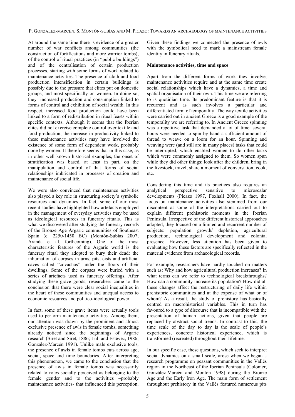At around the same time there is evidence of a greater number of war conflicts among communities (the construction of fortifications and more warrior tombs), of the control of ritual practices (in "public buildings") and of the centralisation of certain production processes, starting with some forms of work related to maintenance activities. The presence of cloth and food production intensification in certain buildings is possibly due to the pressure that elites put on domestic groups, and most specifically on women. In doing so, they increased production and consumption linked to forms of control and exhibition of social wealth. In this respect, increased food production could have been linked to a form of redistribution in ritual feasts within specific contexts. Although it seems that the Iberian elites did not exercise complete control over textile and food production, the increase in productivity linked to these maintenance activities may have involved the existence of some form of dependent work, probably done by women. It therefore seems that in this case, as in other well known historical examples, the onset of stratification was based, at least in part, on the manipulation and control of that forms of social relationships imbricated in processes of creation and maintenance of social life.

We were also convinced that maintenance activities also played a key role in structuring society's symbolic resources and dynamics. In fact, some of our most recent studies have highlighted how artefacts employed in the management of everyday activities may be used as ideological resources in funerary rituals. This is what we discovered after studying the funerary records of the Bronze Age Argaric communities of Southeast Spain (c. 2250-1450 BC) (Montón-Subías 2007; Aranda et al. forthcoming). One of the most characteristic features of the Argaric world is the funerary ritual they adopted to bury their dead: the inhumation of corpses in urns, pits, cists and artificial caves called "covachas" under the floors of their dwellings. Some of the corpses were buried with a series of artefacts used as funerary offerings. After studying these grave goods, researchers came to the conclusion that there were clear social inequalities in the heart of these communities and unequal access to economic resources and politico-ideological power.

In fact, some of these grave items were actually tools used to perform maintenance activities. Among them, our attention was drawn by the prominent and almost exclusive presence of awls in female tombs, something already noticed since the beginnings of Argaric research (Siret and Siret, 1886; Lull and Estévez, 1986; González-Marcén 1991). Unlike male exclusive tools, the presence of awls in female tombs cuts across age, social, space and time boundaries. After interpreting this phenomenon, we came to the conclusion that the presence of awls in female tombs was necessarily related to roles socially perceived as belonging to the female gender and to the activities –probably maintenance activities- that influenced this perception.

Given these findings we connected the presence of awls with the symbolical need to mark a mainstream female identity in funerary rituals.

#### **Maintenance activities, time and space**

Apart from the different forms of work they involve, maintenance activities require and at the same time create social relationships which have a dynamics, a time and spatial organisation of their own. This time we are referring to is quotidian time. Its predominant feature is that it is recurrent and as such involves a particular and differentiated form of temporality. The way textile activities were carried out in ancient Greece is a good example of the temporality we are referring to. In Ancient Greece spinning was a repetitive task that demanded a lot of time: several hours were needed to spin by hand a sufficient amount of thread to weave on a loom for an hour. Spinning and weaving were (and still are in many places) tasks that could be interrupted, which enabled women to do other tasks which were commonly assigned to them. So women spun while they did other things: look after the children, bring in the livestock, travel, share a moment of conversation, cook, etc.

Considering this time and its practices also requires an analytical perspective sensitive to microscalar developments (Picazo 1997, Foxhall 2000). In fact, the focus on maintenance activities also stemmed from our discontent at some of the interpretations carried out to explain different prehistoric moments in the Iberian Peninsula. Irrespective of the different historical approaches adopted, they focused on a limited and recurrent number of subjects: population growth/ depletion, agricultural production, technological development and colonial presence. However, less attention has been given to evaluating how these factors are specifically reflected in the material evidence from archaeological records.

For example, researchers have hardly touched on matters such as: Why and how agricultural production increases? In what terms can we refer to technological breakthroughs? How can a community increase its population? How did all these changes affect the restructuring of daily life within prehistoric communities and at the expense of what or of whom? As a result, the study of prehistory has basically centred on macrohistorical variables. This in turn has favoured to a type of discourse that is incompatible with the presentation of human actions, given that people are replaced by abstract social trends. In contrast to this, the time scale of the day to day is the scale of people's experiences, concrete historical experience, which is transformed (recreated) throughout their lifetime.

In our specific case, these questions, which seek to interpret social dynamics on a small scale, arose when we began a research programme on peasant communities in the Vallés region in the Northeast of the Iberian Peninsula (Colomer, González-Marcén and Montón 1998) during the Bronze Age and the Early Iron Age. The main form of settlement throughout prehistory in the Vallés featured numerous pits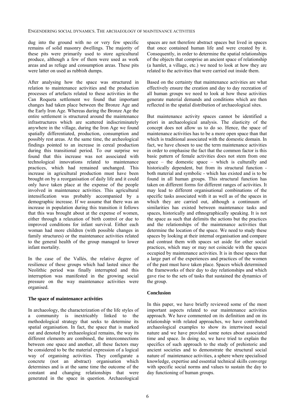dug into the ground with no or very few specific remains of solid masonry dwellings. The majority of these pits were primarily used to store agricultural produce, although a few of them were used as work areas and as refuge and consumption areas. These pits were latter on used as rubbish dumps.

After analysing how the space was structured in relation to maintenance activities and the production processes of artefacts related to these activities in the Can Roqueta settlement we found that important changes had taken place between the Bronze Age and the Early Iron Age. Whereas during the Bronze Age the entire settlement is structured around the maintenance infrastructures which are scattered indiscriminately anywhere in the village, during the Iron Age we found spatially differentiated, production, consumption and possibly rest areas. At the same time, the archeological findings pointed to an increase in cereal production during this transitional period. To our surprise we found that this increase was not associated with technological innovations related to maintenance practices, which had remained unchanged. This increase in agricultural production must have been brought on by a reorganisation of daily life and it could only have taken place at the expense of the people involved in maintenance activities. This agricultural intensification was probably accompanied by a demographic increase. If we assume that there was an increase in population during this transition it follows that this was brought about at the expense of women, either through a relaxation of birth control or due to improved conditions for infant survival. Either each woman had more children (with possible changes in family structures) or the maintenance activities related to the general health of the group managed to lower infant mortality.

In the case of the Vallés, the relative degree of resilience of these groups which had lasted since the Neolithic period was finally interrupted and this interruption was manifested in the growing social pressure on the way maintenance activities were organised.

## **The space of maintenance activities**

In archaeology, the characterization of the life styles of a community is inextricably linked to the methodological strategy that seeks to determine its spatial organisation. In fact, the space that is marked out and denoted by archaeological remains, the way its different elements are combined, the interconnections between one space and another, all these factors may be considered to be the material expression of a logical way of organising activities. They configurate a concrete (not an abstract) organisation which determines and is at the same time the outcome of the constant and changing relationships that were generated in the space in question. Archaeological spaces are not therefore abstract spaces but lived in spaces that once contained human life and were created by it. Consequently, in order to determine the spatial relationships of the objects that comprise an ancient space of relationship (a hamlet, a village, etc.) we need to look at how they are related to the activities that were carried out inside them.

Based on the certainty that maintenance activities are what effectively ensure the creation and day to day recreation of all human groups we need to look at how these activities generate material demands and conditions which are then reflected in the spatial distribution of archaeological sites.

But maintenance activity spaces cannot be identified a priori in archaeological analysis. The elasticity of the concept does not allow us to do so. Hence, the space of maintenance activities has to be a more open space than that which is traditional associated with the domestic domain. In fact, we have chosen to use the term maintenance activities in order to emphasise the fact that the common factor is this basic pattern of female activities does not stem from one space – the domestic space – which is culturally and historically dependent, but from its structural function both material and symbolic - which has existed and is to be found in all human groups. This structural function has taken on different forms for different ranges of activities. It may lead to different organisational combinations of the specific tasks associated with it as well as of the spaces in which they are carried out, although a continuum of similarities has existed between maintenance tasks and spaces, historically and ethnographically speaking. It is not the space as such that delimits the actions but the practices and the relationships of the maintenance activities that determine the location of the space. We need to study these spaces by looking at their internal organisation and compare and contrast them with spaces set aside for other social practices, which may or may not coincide with the spaces occupied by maintenance activities. It is in these spaces that a large part of the experiences and practices of the women of the past must have taken place. Spaces which determined the frameworks of their day to day relationships and which gave rise to the sets of tasks that sustained the dynamics of the group.

## **Conclusion**

In this paper, we have briefly reviewed some of the most important aspects related to our maintenance activities approach. We have commented on its definition and on its relationship with related approaches, we have contributed archaeological examples to show its intertwined social nature and we have provided some notes about associated time and space. In doing so, we have tried to explain the specifics of such approach to the study of prehistoric and ancient societies and to demonstrate the structural social nature of maintenance activities, a sphere where specialised knowledge, expertise and essential technical skills converge with specific social norms and values to sustain the day to day functioning of human groups.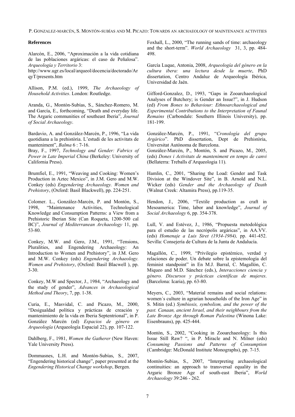P. GONZALEZ-MARCÉN, S. MONTÓN-SUBÍAS AND M. PICAZO: TOWARDS AN ARCHAEOLOGY OF MAINTENANCE ACTIVITIES

## **References**

Alarcón, E., 2006, "Aproximación a la vida cotidiana de las poblaciones argáricas: el caso de Peñalosa". *Arqueología y Territorio* 3:

http://www.ugr.es/local/arqueol/docencia/doctorado/Ar qyT/presents.htm

Allison, P.M. (ed.), 1999, *The Archaeology of Household Activities*. London: Routledge.

Aranda, G., Montón-Subías, S., Sánchez-Romero, M. and García, E., forthcoming, "Death and everyday life. The Argaric communities of southeast Iberia", *Journal of Social Archaeology*.

Bardavio, A. and González-Marcén, P., 1996, "La vida quotidiana a la prehistòria. L'estudi de les activitats de manteniment", *Balma* 6 : 7-16.

Bray, F., 1997, *Technology and Gender: Fabrics of Power in Late Imperial China* (Berkeley: University of California Press).

Brumfiel, E., 1991, "Weaving and Cooking: Women's Production in Aztec Mexico", in J.M. Gero and M.W. Conkey (eds) *Engendering Archaeology. Women and Prehistory*, (Oxford: Basil Blackwell), pp. 224-251.

Colomer. L., González-Marcén, P. and Montón, S., 1998, "Maintenance Activities, Technological Knowledge and Consumption Patterns: a View from a Prehistoric Iberian Site (Can Roqueta, 1200-500 cal BC)", *Journal of Mediterranean Archaeology* 11, pp. 53-80.

Conkey, M.W. and Gero, J.M., 1991, "Tensions, Pluralities, and Engendering Archaeology: An Introduction to Women and Prehistory", in J.M. Gero and M.W. Conkey (eds) *Engendering Archaeology. Women and Prehistory*, (Oxford: Basil Blacwell ), pp. 3-30.

Conkey, M.W and Spector, J., 1984, "Archaeology and the study of gender", *Advances in Archaeological Method and Theory*, 7, pp. 1-38.

Curia, E., Masvidal, C. and Picazo, M., 2000, "Desigualdad política y prácticas de creación y mantenimiento de la vida en Iberia Septentrional", in P. González Marcén (ed) *Espacios de género en Arqueología* (Arqueología Espacial 22), pp. 107-122.

Dahlberg, F., 1981, *Women the Gatherer* (New Haven: Yale University Press).

Dommasnes, L.H. and Montón-Subías, S., 2007, "Engendering historical change", paper presented at the *Engendering Historical Change workshop*, Bergen.

Foxhall, L., 2000, "The running sands of time: archaeology and the short-term". *World Archaeology* 31, 3, pp. 484- 498.

García Luque, Antonia, 2008, *Arqueología del género en la cultura ibera: una lectura desde la muerte*, PhD dissertation, Centro Andaluz de Arqueología Ibérica, Universidad de Jaén.

Gifford-Gonzalez, D., 1993, "Gaps in Zooarchaeological Analyses of Butchery; is Gender an Issue?", in J. Hudson (ed) *From Bones to Behaviour: Ethnoarchaeological and Experimental Contributions to the Interpretation of Faunal Remains* (Carbondale: Southern Illinois University), pp. 181-199.

González-Marcén, P., 1991, "*Cronología del grupo Argárico*". PhD dissertation, Dept de Prehistòria, Universitat Autónoma de Barcelona.

González-Marcén, P., Montón, S. and Picazo, M., 2005, (eds) *Dones i Activitats de manteniment en temps de canvi* (Bellaterra: Treballs d'Arqueologia 11).

Hamlin, C., 2001, "Sharing the Load: Gender and Task Division at the Windover Site", in B. Arnold and N.L. Wicker (eds) *Gender and the Archaeology of Death* (Walnut Creek: Altamira Press), pp.119-35.

Hendon, J., 2006, "Textile production as craft in Mesoamerica: Time, labor and knowledge", *Journal of Social Archaeology* 6, pp. 354-378.

Lull, V. and Estévez, J., 1986, "Propuesta metodológica para el estudio de las necrópolis argáricas", in AA.VV. (eds) *Homenaje a Luis Siret (1934-1984),* pp. 441-452. Sevilla: Consejería de Cultura de la Junta de Andalucía.

Magallón, C., 1999, "Privilegio epistémico, verdad y relaciones de poder. Un debate sobre la epistemología del feminist standpoint" in En M.J. Barral, C. Magallón, C. Miqueo and M.D. Sánchez (eds.), *Interacciones ciencia y género. Discursos y prácticas científicas de mujeres*. (Barcelona: Icaria), pp. 63-80.

Meyers, C., 2003, "Material remains and social relations: women´s culture in agrarian households of the Iron Age" in S. Mitin (ed.) *Symbiosis, symbolism, and the power of the past. Canaan, ancient Israel, and their neighbours from the Late Bronze Age through Roman Palestina* (Winona Lake: Eisenbrauns), pp. 425-444.

Montón, S., 2002, "Cooking in Zooarchaeology: Is this Issue Still Raw? ", in P. Miracle and N. Milner (eds) *Consuming Passions and Patterns of Consumption* (Cambridge: McDonald Institute Monographs), pp. 7-15.

Montón-Subias, S., 2007, "Interpreting archaeological continuities: an approach to transversal equality in the Argaric Bronze Age of south-east Iberia", *World Archaeology* 39:246 - 262.